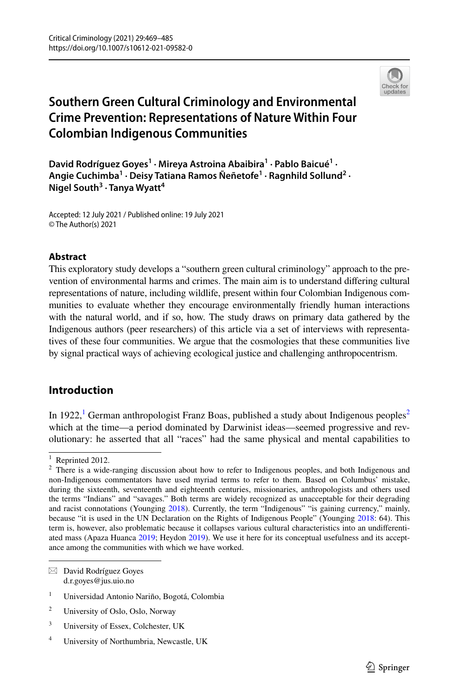

# **Southern Green Cultural Criminology and Environmental Crime Prevention: Representations of Nature Within Four Colombian Indigenous Communities**

David Rodríguez Goyes<sup>1</sup> · Mireya Astroina Abaibira<sup>1</sup> · Pablo Baicué<sup>1</sup> · **Angie Cuchimba1 · Deisy Tatiana Ramos Ñeñetofe1 · Ragnhild Sollund2 · Nigel South3 · Tanya Wyatt<sup>4</sup>**

Accepted: 12 July 2021 / Published online: 19 July 2021 © The Author(s) 2021

#### **Abstract**

This exploratory study develops a "southern green cultural criminology" approach to the prevention of environmental harms and crimes. The main aim is to understand difering cultural representations of nature, including wildlife, present within four Colombian Indigenous communities to evaluate whether they encourage environmentally friendly human interactions with the natural world, and if so, how. The study draws on primary data gathered by the Indigenous authors (peer researchers) of this article via a set of interviews with representatives of these four communities. We argue that the cosmologies that these communities live by signal practical ways of achieving ecological justice and challenging anthropocentrism.

# **Introduction**

In [1](#page-0-0)9[2](#page-0-1)2,<sup>1</sup> German anthropologist Franz Boas, published a study about Indigenous peoples<sup>2</sup> which at the time—a period dominated by Darwinist ideas—seemed progressive and revolutionary: he asserted that all "races" had the same physical and mental capabilities to

 $\boxtimes$  David Rodríguez Goyes d.r.goyes@jus.uio.no

- <sup>3</sup> University of Essex, Colchester, UK
- <sup>4</sup> University of Northumbria, Newcastle, UK

<span id="page-0-0"></span> $1$  Reprinted 2012.

<span id="page-0-1"></span><sup>&</sup>lt;sup>2</sup> There is a wide-ranging discussion about how to refer to Indigenous peoples, and both Indigenous and non-Indigenous commentators have used myriad terms to refer to them. Based on Columbus' mistake, during the sixteenth, seventeenth and eighteenth centuries, missionaries, anthropologists and others used the terms "Indians" and "savages." Both terms are widely recognized as unacceptable for their degrading and racist connotations (Younging [2018](#page-16-0)). Currently, the term "Indigenous" "is gaining currency," mainly, because "it is used in the UN Declaration on the Rights of Indigenous People" (Younging [2018:](#page-16-0) 64). This term is, however, also problematic because it collapses various cultural characteristics into an undiferentiated mass (Apaza Huanca [2019;](#page-13-0) Heydon [2019\)](#page-14-0). We use it here for its conceptual usefulness and its acceptance among the communities with which we have worked.

<sup>1</sup> Universidad Antonio Nariño, Bogotá, Colombia

<sup>2</sup> University of Oslo, Oslo, Norway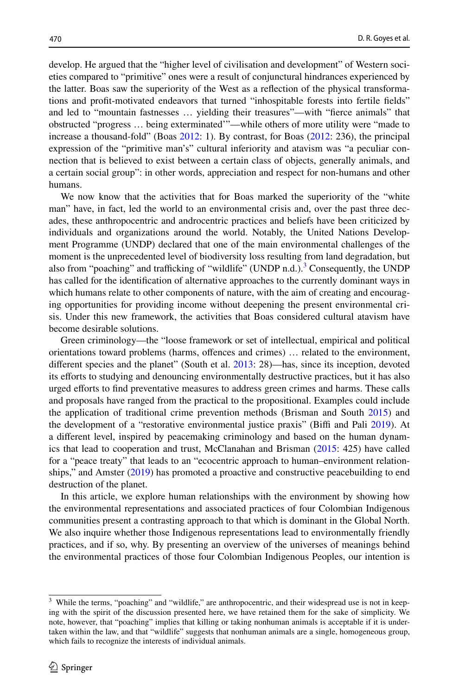develop. He argued that the "higher level of civilisation and development" of Western societies compared to "primitive" ones were a result of conjunctural hindrances experienced by the latter. Boas saw the superiority of the West as a refection of the physical transformations and proft-motivated endeavors that turned "inhospitable forests into fertile felds" and led to "mountain fastnesses … yielding their treasures"—with "ferce animals" that obstructed "progress … being exterminated'"—while others of more utility were "made to increase a thousand-fold" (Boas [2012](#page-13-1): 1). By contrast, for Boas [\(2012](#page-13-1): 236), the principal expression of the "primitive man's" cultural inferiority and atavism was "a peculiar connection that is believed to exist between a certain class of objects, generally animals, and a certain social group": in other words, appreciation and respect for non-humans and other humans.

We now know that the activities that for Boas marked the superiority of the "white man" have, in fact, led the world to an environmental crisis and, over the past three decades, these anthropocentric and androcentric practices and beliefs have been criticized by individuals and organizations around the world. Notably, the United Nations Development Programme (UNDP) declared that one of the main environmental challenges of the moment is the unprecedented level of biodiversity loss resulting from land degradation, but also from "poaching" and trafficking of "wildlife" (UNDP n.d.). $3$  Consequently, the UNDP has called for the identifcation of alternative approaches to the currently dominant ways in which humans relate to other components of nature, with the aim of creating and encouraging opportunities for providing income without deepening the present environmental crisis. Under this new framework, the activities that Boas considered cultural atavism have become desirable solutions.

Green criminology—the "loose framework or set of intellectual, empirical and political orientations toward problems (harms, ofences and crimes) … related to the environment, diferent species and the planet" (South et al. [2013:](#page-16-1) 28)—has, since its inception, devoted its efforts to studying and denouncing environmentally destructive practices, but it has also urged eforts to fnd preventative measures to address green crimes and harms. These calls and proposals have ranged from the practical to the propositional. Examples could include the application of traditional crime prevention methods (Brisman and South [2015\)](#page-14-1) and the development of a "restorative environmental justice praxis" (Biffi and Pali [2019](#page-13-2)). At a diferent level, inspired by peacemaking criminology and based on the human dynamics that lead to cooperation and trust, McClanahan and Brisman ([2015:](#page-15-0) 425) have called for a "peace treaty" that leads to an "ecocentric approach to human–environment relationships," and Amster ([2019\)](#page-13-3) has promoted a proactive and constructive peacebuilding to end destruction of the planet.

In this article, we explore human relationships with the environment by showing how the environmental representations and associated practices of four Colombian Indigenous communities present a contrasting approach to that which is dominant in the Global North. We also inquire whether those Indigenous representations lead to environmentally friendly practices, and if so, why. By presenting an overview of the universes of meanings behind the environmental practices of those four Colombian Indigenous Peoples, our intention is

<span id="page-1-0"></span><sup>&</sup>lt;sup>3</sup> While the terms, "poaching" and "wildlife," are anthropocentric, and their widespread use is not in keeping with the spirit of the discussion presented here, we have retained them for the sake of simplicity. We note, however, that "poaching" implies that killing or taking nonhuman animals is acceptable if it is undertaken within the law, and that "wildlife" suggests that nonhuman animals are a single, homogeneous group, which fails to recognize the interests of individual animals.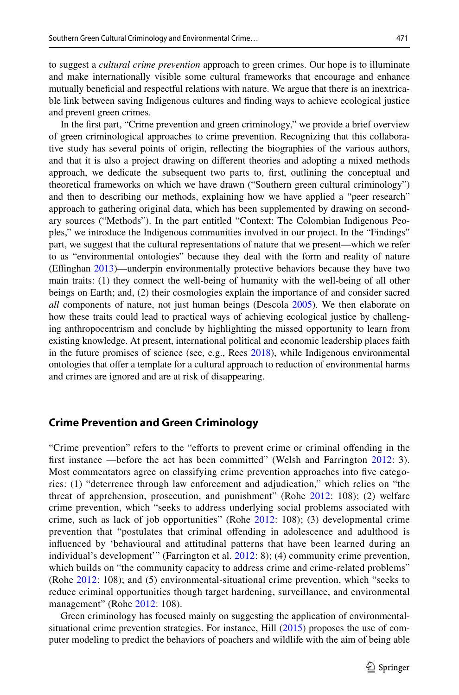to suggest a *cultural crime prevention* approach to green crimes. Our hope is to illuminate and make internationally visible some cultural frameworks that encourage and enhance mutually benefcial and respectful relations with nature. We argue that there is an inextricable link between saving Indigenous cultures and fnding ways to achieve ecological justice and prevent green crimes.

In the frst part, "Crime prevention and green criminology," we provide a brief overview of green criminological approaches to crime prevention. Recognizing that this collaborative study has several points of origin, refecting the biographies of the various authors, and that it is also a project drawing on diferent theories and adopting a mixed methods approach, we dedicate the subsequent two parts to, frst, outlining the conceptual and theoretical frameworks on which we have drawn ("Southern green cultural criminology") and then to describing our methods, explaining how we have applied a "peer research" approach to gathering original data, which has been supplemented by drawing on secondary sources ("Methods"). In the part entitled "Context: The Colombian Indigenous Peoples," we introduce the Indigenous communities involved in our project. In the "Findings" part, we suggest that the cultural representations of nature that we present—which we refer to as "environmental ontologies" because they deal with the form and reality of nature (Efnghan [2013](#page-14-2))—underpin environmentally protective behaviors because they have two main traits: (1) they connect the well-being of humanity with the well-being of all other beings on Earth; and, (2) their cosmologies explain the importance of and consider sacred *all* components of nature, not just human beings (Descola [2005\)](#page-14-3). We then elaborate on how these traits could lead to practical ways of achieving ecological justice by challenging anthropocentrism and conclude by highlighting the missed opportunity to learn from existing knowledge. At present, international political and economic leadership places faith in the future promises of science (see, e.g., Rees [2018](#page-15-1)), while Indigenous environmental ontologies that ofer a template for a cultural approach to reduction of environmental harms and crimes are ignored and are at risk of disappearing.

#### **Crime Prevention and Green Criminology**

"Crime prevention" refers to the "eforts to prevent crime or criminal ofending in the frst instance —before the act has been committed" (Welsh and Farrington [2012](#page-14-4): 3). Most commentators agree on classifying crime prevention approaches into fve categories: (1) "deterrence through law enforcement and adjudication," which relies on "the threat of apprehension, prosecution, and punishment" (Rohe [2012](#page-15-2): 108); (2) welfare crime prevention, which "seeks to address underlying social problems associated with crime, such as lack of job opportunities" (Rohe [2012](#page-15-2): 108); (3) developmental crime prevention that "postulates that criminal ofending in adolescence and adulthood is infuenced by 'behavioural and attitudinal patterns that have been learned during an individual's development'" (Farrington et al. [2012](#page-14-4): 8); (4) community crime prevention, which builds on "the community capacity to address crime and crime-related problems" (Rohe [2012:](#page-15-2) 108); and (5) environmental-situational crime prevention, which "seeks to reduce criminal opportunities though target hardening, surveillance, and environmental management" (Rohe [2012](#page-15-2): 108).

Green criminology has focused mainly on suggesting the application of environmentalsituational crime prevention strategies. For instance, Hill ([2015\)](#page-15-3) proposes the use of computer modeling to predict the behaviors of poachers and wildlife with the aim of being able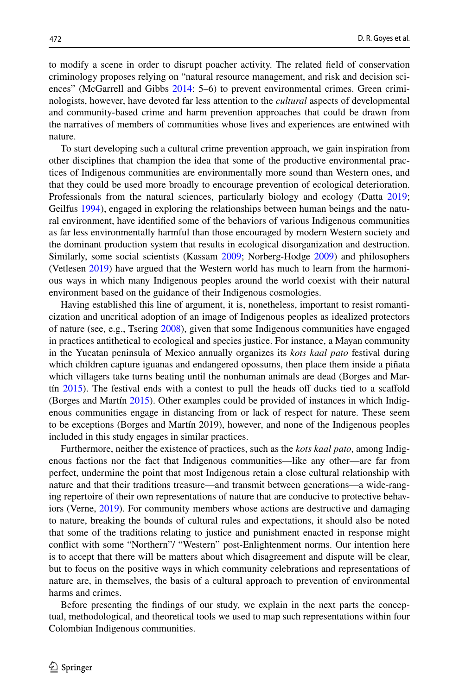to modify a scene in order to disrupt poacher activity. The related feld of conservation criminology proposes relying on "natural resource management, and risk and decision sciences" (McGarrell and Gibbs [2014](#page-15-4): 5–6) to prevent environmental crimes. Green criminologists, however, have devoted far less attention to the *cultural* aspects of developmental and community-based crime and harm prevention approaches that could be drawn from the narratives of members of communities whose lives and experiences are entwined with nature.

To start developing such a cultural crime prevention approach, we gain inspiration from other disciplines that champion the idea that some of the productive environmental practices of Indigenous communities are environmentally more sound than Western ones, and that they could be used more broadly to encourage prevention of ecological deterioration. Professionals from the natural sciences, particularly biology and ecology (Datta [2019;](#page-14-5) Geilfus [1994](#page-14-6)), engaged in exploring the relationships between human beings and the natural environment, have identifed some of the behaviors of various Indigenous communities as far less environmentally harmful than those encouraged by modern Western society and the dominant production system that results in ecological disorganization and destruction. Similarly, some social scientists (Kassam [2009](#page-15-5); Norberg-Hodge [2009\)](#page-15-6) and philosophers (Vetlesen [2019](#page-16-2)) have argued that the Western world has much to learn from the harmonious ways in which many Indigenous peoples around the world coexist with their natural environment based on the guidance of their Indigenous cosmologies.

Having established this line of argument, it is, nonetheless, important to resist romanticization and uncritical adoption of an image of Indigenous peoples as idealized protectors of nature (see, e.g., Tsering [2008](#page-16-3)), given that some Indigenous communities have engaged in practices antithetical to ecological and species justice. For instance, a Mayan community in the Yucatan peninsula of Mexico annually organizes its *kots kaal pato* festival during which children capture iguanas and endangered opossums, then place them inside a piñata which villagers take turns beating until the nonhuman animals are dead (Borges and Martin  $2015$ ). The festival ends with a contest to pull the heads off ducks tied to a scaffold (Borges and Martín [2015](#page-14-7)). Other examples could be provided of instances in which Indigenous communities engage in distancing from or lack of respect for nature. These seem to be exceptions (Borges and Martín 2019), however, and none of the Indigenous peoples included in this study engages in similar practices.

Furthermore, neither the existence of practices, such as the *kots kaal pato*, among Indigenous factions nor the fact that Indigenous communities—like any other—are far from perfect, undermine the point that most Indigenous retain a close cultural relationship with nature and that their traditions treasure—and transmit between generations—a wide-ranging repertoire of their own representations of nature that are conducive to protective behaviors (Verne, [2019](#page-16-4)). For community members whose actions are destructive and damaging to nature, breaking the bounds of cultural rules and expectations, it should also be noted that some of the traditions relating to justice and punishment enacted in response might confict with some "Northern"/ "Western" post-Enlightenment norms. Our intention here is to accept that there will be matters about which disagreement and dispute will be clear, but to focus on the positive ways in which community celebrations and representations of nature are, in themselves, the basis of a cultural approach to prevention of environmental harms and crimes.

Before presenting the fndings of our study, we explain in the next parts the conceptual, methodological, and theoretical tools we used to map such representations within four Colombian Indigenous communities.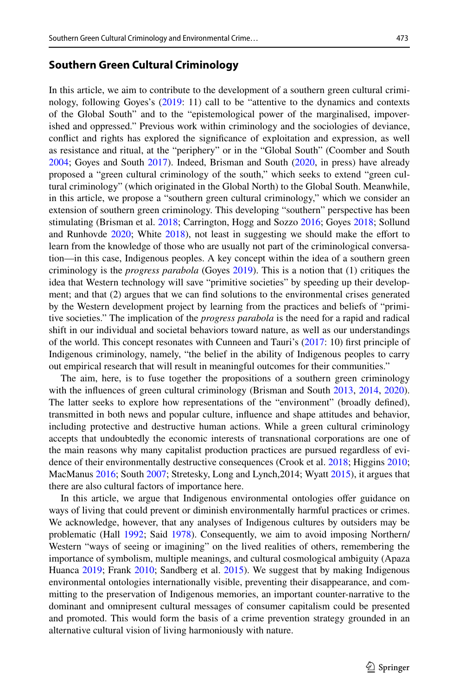#### **Southern Green Cultural Criminology**

In this article, we aim to contribute to the development of a southern green cultural criminology, following Goyes's [\(2019](#page-14-8): 11) call to be "attentive to the dynamics and contexts of the Global South" and to the "epistemological power of the marginalised, impoverished and oppressed." Previous work within criminology and the sociologies of deviance, confict and rights has explored the signifcance of exploitation and expression, as well as resistance and ritual, at the "periphery" or in the "Global South" (Coomber and South [2004;](#page-14-9) Goyes and South [2017\)](#page-14-10). Indeed, Brisman and South [\(2020](#page-14-11), in press) have already proposed a "green cultural criminology of the south," which seeks to extend "green cultural criminology" (which originated in the Global North) to the Global South. Meanwhile, in this article, we propose a "southern green cultural criminology," which we consider an extension of southern green criminology. This developing "southern" perspective has been stimulating (Brisman et al. [2018](#page-14-12); Carrington, Hogg and Sozzo [2016](#page-14-13); Goyes [2018;](#page-14-14) Sollund and Runhovde [2020](#page-15-7); White [2018](#page-16-5)), not least in suggesting we should make the efort to learn from the knowledge of those who are usually not part of the criminological conversation—in this case, Indigenous peoples. A key concept within the idea of a southern green criminology is the *progress parabola* (Goyes [2019](#page-14-8)). This is a notion that (1) critiques the idea that Western technology will save "primitive societies" by speeding up their development; and that (2) argues that we can fnd solutions to the environmental crises generated by the Western development project by learning from the practices and beliefs of "primitive societies." The implication of the *progress parabola* is the need for a rapid and radical shift in our individual and societal behaviors toward nature, as well as our understandings of the world. This concept resonates with Cunneen and Tauri's ([2017:](#page-14-15) 10) frst principle of Indigenous criminology, namely, "the belief in the ability of Indigenous peoples to carry out empirical research that will result in meaningful outcomes for their communities."

The aim, here, is to fuse together the propositions of a southern green criminology with the influences of green cultural criminology (Brisman and South [2013](#page-14-16), [2014,](#page-14-17) [2020](#page-14-11)). The latter seeks to explore how representations of the "environment" (broadly defned), transmitted in both news and popular culture, infuence and shape attitudes and behavior, including protective and destructive human actions. While a green cultural criminology accepts that undoubtedly the economic interests of transnational corporations are one of the main reasons why many capitalist production practices are pursued regardless of evidence of their environmentally destructive consequences (Crook et al. [2018](#page-14-18); Higgins [2010;](#page-15-8) MacManus [2016;](#page-15-9) South [2007](#page-15-10); Stretesky, Long and Lynch,2014; Wyatt [2015\)](#page-16-6), it argues that there are also cultural factors of importance here.

In this article, we argue that Indigenous environmental ontologies ofer guidance on ways of living that could prevent or diminish environmentally harmful practices or crimes. We acknowledge, however, that any analyses of Indigenous cultures by outsiders may be problematic (Hall [1992;](#page-14-19) Said [1978](#page-15-11)). Consequently, we aim to avoid imposing Northern/ Western "ways of seeing or imagining" on the lived realities of others, remembering the importance of symbolism, multiple meanings, and cultural cosmological ambiguity (Apaza Huanca [2019;](#page-13-0) Frank [2010;](#page-14-20) Sandberg et al. [2015](#page-15-12)). We suggest that by making Indigenous environmental ontologies internationally visible, preventing their disappearance, and committing to the preservation of Indigenous memories, an important counter-narrative to the dominant and omnipresent cultural messages of consumer capitalism could be presented and promoted. This would form the basis of a crime prevention strategy grounded in an alternative cultural vision of living harmoniously with nature.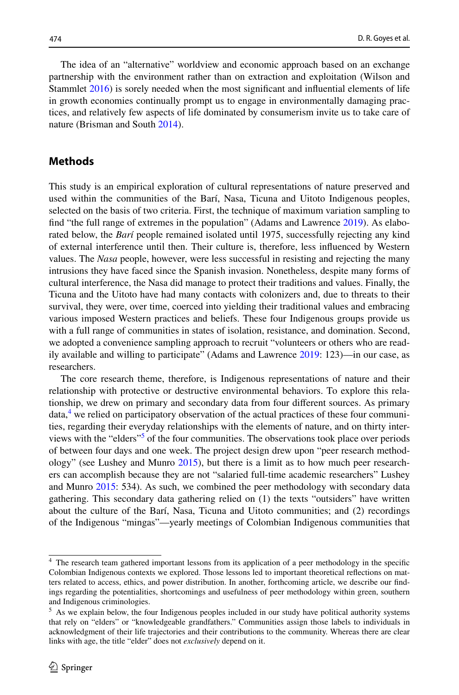The idea of an "alternative" worldview and economic approach based on an exchange partnership with the environment rather than on extraction and exploitation (Wilson and Stammlet [2016\)](#page-16-7) is sorely needed when the most signifcant and infuential elements of life in growth economies continually prompt us to engage in environmentally damaging practices, and relatively few aspects of life dominated by consumerism invite us to take care of nature (Brisman and South [2014](#page-14-17)).

#### **Methods**

This study is an empirical exploration of cultural representations of nature preserved and used within the communities of the Barí, Nasa, Ticuna and Uitoto Indigenous peoples, selected on the basis of two criteria. First, the technique of maximum variation sampling to fnd "the full range of extremes in the population" (Adams and Lawrence [2019\)](#page-13-4). As elaborated below, the *Barí* people remained isolated until 1975, successfully rejecting any kind of external interference until then. Their culture is, therefore, less infuenced by Western values. The *Nasa* people, however, were less successful in resisting and rejecting the many intrusions they have faced since the Spanish invasion. Nonetheless, despite many forms of cultural interference, the Nasa did manage to protect their traditions and values. Finally, the Ticuna and the Uitoto have had many contacts with colonizers and, due to threats to their survival, they were, over time, coerced into yielding their traditional values and embracing various imposed Western practices and beliefs. These four Indigenous groups provide us with a full range of communities in states of isolation, resistance, and domination. Second, we adopted a convenience sampling approach to recruit "volunteers or others who are readily available and willing to participate" (Adams and Lawrence [2019:](#page-13-4) 123)—in our case, as researchers.

The core research theme, therefore, is Indigenous representations of nature and their relationship with protective or destructive environmental behaviors. To explore this relationship, we drew on primary and secondary data from four diferent sources. As primary data,<sup>4</sup> we relied on participatory observation of the actual practices of these four communities, regarding their everyday relationships with the elements of nature, and on thirty interviews with the "elders"<sup>5</sup> of the four communities. The observations took place over periods of between four days and one week. The project design drew upon "peer research methodology" (see Lushey and Munro [2015\)](#page-15-13), but there is a limit as to how much peer researchers can accomplish because they are not "salaried full-time academic researchers" Lushey and Munro [2015:](#page-15-13) 534). As such, we combined the peer methodology with secondary data gathering. This secondary data gathering relied on (1) the texts "outsiders" have written about the culture of the Barí, Nasa, Ticuna and Uitoto communities; and (2) recordings of the Indigenous "mingas"—yearly meetings of Colombian Indigenous communities that

<span id="page-5-0"></span>The research team gathered important lessons from its application of a peer methodology in the specific Colombian Indigenous contexts we explored. Those lessons led to important theoretical refections on matters related to access, ethics, and power distribution. In another, forthcoming article, we describe our fndings regarding the potentialities, shortcomings and usefulness of peer methodology within green, southern and Indigenous criminologies.

<span id="page-5-1"></span><sup>&</sup>lt;sup>5</sup> As we explain below, the four Indigenous peoples included in our study have political authority systems that rely on "elders" or "knowledgeable grandfathers." Communities assign those labels to individuals in acknowledgment of their life trajectories and their contributions to the community. Whereas there are clear links with age, the title "elder" does not *exclusively* depend on it.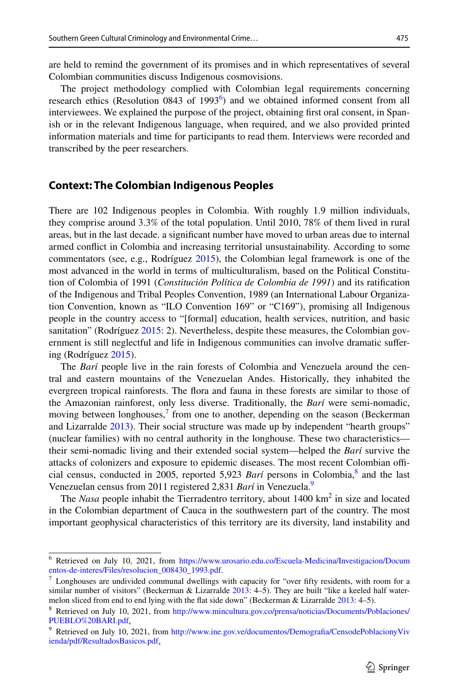are held to remind the government of its promises and in which representatives of several Colombian communities discuss Indigenous cosmovisions.

The project methodology complied with Colombian legal requirements concerning research ethics (Resolution 0843 of 1993<sup>[6](#page-6-0)</sup>) and we obtained informed consent from all interviewees. We explained the purpose of the project, obtaining frst oral consent, in Spanish or in the relevant Indigenous language, when required, and we also provided printed information materials and time for participants to read them. Interviews were recorded and transcribed by the peer researchers.

#### **Context: The Colombian Indigenous Peoples**

There are 102 Indigenous peoples in Colombia. With roughly 1.9 million individuals, they comprise around 3.3% of the total population. Until 2010, 78% of them lived in rural areas, but in the last decade. a signifcant number have moved to urban areas due to internal armed confict in Colombia and increasing territorial unsustainability. According to some commentators (see, e.g., Rodríguez [2015\)](#page-15-14), the Colombian legal framework is one of the most advanced in the world in terms of multiculturalism, based on the Political Constitution of Colombia of 1991 (*Constitución Política de Colombia de 1991*) and its ratifcation of the Indigenous and Tribal Peoples Convention, 1989 (an International Labour Organization Convention, known as "ILO Convention 169" or "C169"), promising all Indigenous people in the country access to "[formal] education, health services, nutrition, and basic sanitation" (Rodríguez [2015](#page-15-14): 2). Nevertheless, despite these measures, the Colombian government is still neglectful and life in Indigenous communities can involve dramatic sufering (Rodríguez [2015](#page-15-14)).

The *Barí* people live in the rain forests of Colombia and Venezuela around the central and eastern mountains of the Venezuelan Andes. Historically, they inhabited the evergreen tropical rainforests. The fora and fauna in these forests are similar to those of the Amazonian rainforest, only less diverse. Traditionally, the *Barí* were semi-nomadic, moving between longhouses, $\frac{7}{1}$  from one to another, depending on the season (Beckerman and Lizarralde [2013](#page-13-5)). Their social structure was made up by independent "hearth groups" (nuclear families) with no central authority in the longhouse. These two characteristics their semi-nomadic living and their extended social system—helped the *Barí* survive the attacks of colonizers and exposure to epidemic diseases. The most recent Colombian official census, conducted in 2005, reported 5,923 *Barí* persons in Colombia,<sup>[8](#page-6-2)</sup> and the last Venezuelan census from 2011 registered 2,831 *Barí* in Venezuela[.9](#page-6-3)

The *Nasa* people inhabit the Tierradentro territory, about 1400 km<sup>2</sup> in size and located in the Colombian department of Cauca in the southwestern part of the country. The most important geophysical characteristics of this territory are its diversity, land instability and

<span id="page-6-0"></span><sup>6</sup> Retrieved on July 10, 2021, from [https://www.urosario.edu.co/Escuela-Medicina/Investigacion/Docum](https://www.urosario.edu.co/Escuela-Medicina/Investigacion/Documentos-de-interes/Files/resolucion_008430_1993.pdf) [entos-de-interes/Files/resolucion\\_008430\\_1993.pdf.](https://www.urosario.edu.co/Escuela-Medicina/Investigacion/Documentos-de-interes/Files/resolucion_008430_1993.pdf)

<span id="page-6-1"></span> $<sup>7</sup>$  Longhouses are undivided communal dwellings with capacity for "over fifty residents, with room for a</sup> similar number of visitors" (Beckerman & Lizarralde [2013:](#page-13-5) 4–5). They are built "like a keeled half water-melon sliced from end to end lying with the flat side down" (Beckerman & Lizarralde [2013](#page-13-5): 4-5).

<span id="page-6-2"></span><sup>8</sup> Retrieved on July 10, 2021, from [http://www.mincultura.gov.co/prensa/noticias/Documents/Poblaciones/](http://www.mincultura.gov.co/prensa/noticias/Documents/Poblaciones/PUEBLO%20BARI.pdf) [PUEBLO%20BARI.pdf](http://www.mincultura.gov.co/prensa/noticias/Documents/Poblaciones/PUEBLO%20BARI.pdf).

<span id="page-6-3"></span><sup>&</sup>lt;sup>9</sup> Retrieved on July 10, 2021, from http://www.ine.gov.ve/documentos/Demografia/CensodePoblacionyViv [ienda/pdf/ResultadosBasicos.pdf.](http://www.ine.gov.ve/documentos/Demografia/CensodePoblacionyVivienda/pdf/ResultadosBasicos.pdf)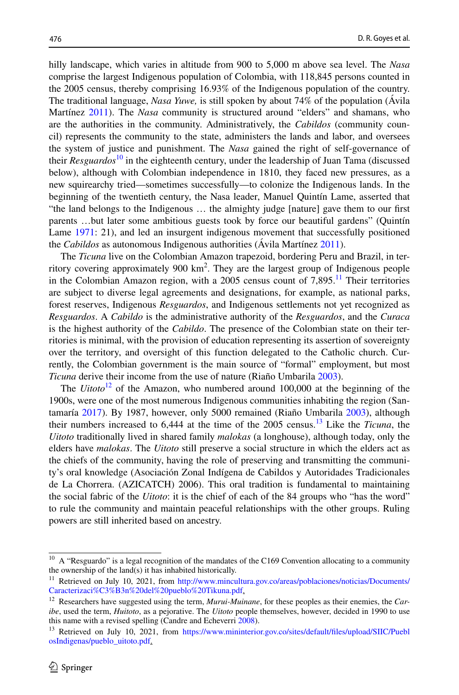hilly landscape, which varies in altitude from 900 to 5,000 m above sea level. The *Nasa* comprise the largest Indigenous population of Colombia, with 118,845 persons counted in the 2005 census, thereby comprising 16.93% of the Indigenous population of the country. The traditional language, *Nasa Yuwe,* is still spoken by about 74% of the population (Ávila Martínez [2011](#page-13-6)). The *Nasa* community is structured around "elders" and shamans, who are the authorities in the community. Administratively, the *Cabildos* (community council) represents the community to the state, administers the lands and labor, and oversees the system of justice and punishment. The *Nasa* gained the right of self-governance of their *Resguardos*[10](#page-7-0) in the eighteenth century, under the leadership of Juan Tama (discussed below), although with Colombian independence in 1810, they faced new pressures, as a new squirearchy tried—sometimes successfully—to colonize the Indigenous lands. In the beginning of the twentieth century, the Nasa leader, Manuel Quintín Lame, asserted that "the land belongs to the Indigenous … the almighty judge [nature] gave them to our frst parents …but later some ambitious guests took by force our beautiful gardens" (Quintín Lame [1971:](#page-15-15) 21), and led an insurgent indigenous movement that successfully positioned the *Cabildos* as autonomous Indigenous authorities (Ávila Martínez [2011\)](#page-13-6).

The *Ticuna* live on the Colombian Amazon trapezoid, bordering Peru and Brazil, in territory covering approximately 900 km2 . They are the largest group of Indigenous people in the Colombian Amazon region, with a 2005 census count of  $7,895$ .<sup>11</sup> Their territories are subject to diverse legal agreements and designations, for example, as national parks, forest reserves, Indigenous *Resguardos*, and Indigenous settlements not yet recognized as *Resguardos*. A *Cabildo* is the administrative authority of the *Resguardos*, and the *Curaca* is the highest authority of the *Cabildo*. The presence of the Colombian state on their territories is minimal, with the provision of education representing its assertion of sovereignty over the territory, and oversight of this function delegated to the Catholic church. Currently, the Colombian government is the main source of "formal" employment, but most *Ticuna* derive their income from the use of nature (Riaño Umbarila [2003](#page-15-16)).

The *Uitoto*<sup>[12](#page-7-2)</sup> of the Amazon, who numbered around 100,000 at the beginning of the 1900s, were one of the most numerous Indigenous communities inhabiting the region (Santamaría [2017\)](#page-15-17). By 1987, however, only 5000 remained (Riaño Umbarila [2003](#page-15-16)), although their numbers increased to 6,444 at the time of the 2005 census.[13](#page-7-3) Like the *Ticuna*, the *Uitoto* traditionally lived in shared family *malokas* (a longhouse), although today, only the elders have *malokas*. The *Uitoto* still preserve a social structure in which the elders act as the chiefs of the community, having the role of preserving and transmitting the community's oral knowledge (Asociación Zonal Indígena de Cabildos y Autoridades Tradicionales de La Chorrera. (AZICATCH) 2006). This oral tradition is fundamental to maintaining the social fabric of the *Uitoto*: it is the chief of each of the 84 groups who "has the word" to rule the community and maintain peaceful relationships with the other groups. Ruling powers are still inherited based on ancestry.

<span id="page-7-0"></span> $10$  A "Resguardo" is a legal recognition of the mandates of the C169 Convention allocating to a community the ownership of the land(s) it has inhabited historically.

<span id="page-7-1"></span><sup>&</sup>lt;sup>11</sup> Retrieved on July 10, 2021, from [http://www.mincultura.gov.co/areas/poblaciones/noticias/Documents/](http://www.mincultura.gov.co/areas/poblaciones/noticias/Documents/Caracterizaci%C3%B3n%20del%20pueblo%20Tikuna.pdf) [Caracterizaci%C3%B3n%20del%20pueblo%20Tikuna.pdf.](http://www.mincultura.gov.co/areas/poblaciones/noticias/Documents/Caracterizaci%C3%B3n%20del%20pueblo%20Tikuna.pdf)

<span id="page-7-2"></span><sup>12</sup> Researchers have suggested using the term, *Murui-Muinane*, for these peoples as their enemies, the *Caribe*, used the term, *Huitoto*, as a pejorative. The *Uitoto* people themselves, however, decided in 1990 to use this name with a revised spelling (Candre and Echeverri [2008](#page-14-21)).

<span id="page-7-3"></span><sup>&</sup>lt;sup>13</sup> Retrieved on July 10, 2021, from https://www.mininterior.gov.co/sites/default/files/upload/SIIC/Puebl [osIndigenas/pueblo\\_uitoto.pdf](https://www.mininterior.gov.co/sites/default/files/upload/SIIC/PueblosIndigenas/pueblo_uitoto.pdf).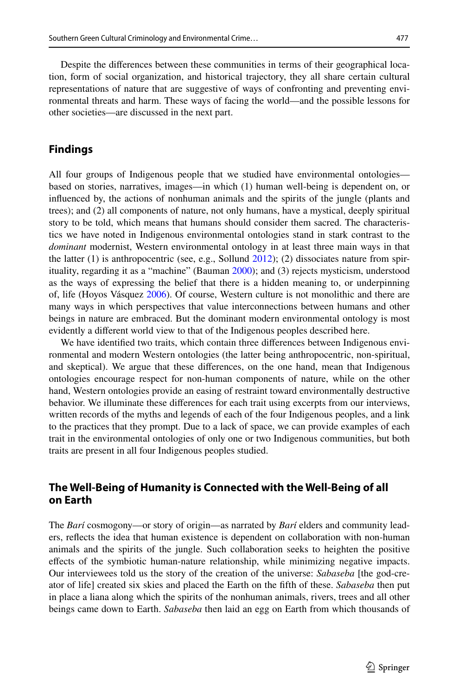Despite the diferences between these communities in terms of their geographical location, form of social organization, and historical trajectory, they all share certain cultural representations of nature that are suggestive of ways of confronting and preventing environmental threats and harm. These ways of facing the world—and the possible lessons for other societies—are discussed in the next part.

#### **Findings**

All four groups of Indigenous people that we studied have environmental ontologies based on stories, narratives, images—in which (1) human well-being is dependent on, or infuenced by, the actions of nonhuman animals and the spirits of the jungle (plants and trees); and (2) all components of nature, not only humans, have a mystical, deeply spiritual story to be told, which means that humans should consider them sacred. The characteristics we have noted in Indigenous environmental ontologies stand in stark contrast to the *dominant* modernist, Western environmental ontology in at least three main ways in that the latter (1) is anthropocentric (see, e.g., Sollund [2012\)](#page-15-18); (2) dissociates nature from spirituality, regarding it as a "machine" (Bauman [2000](#page-13-7)); and (3) rejects mysticism, understood as the ways of expressing the belief that there is a hidden meaning to, or underpinning of, life (Hoyos Vásquez [2006](#page-15-19)). Of course, Western culture is not monolithic and there are many ways in which perspectives that value interconnections between humans and other beings in nature are embraced. But the dominant modern environmental ontology is most evidently a diferent world view to that of the Indigenous peoples described here.

We have identifed two traits, which contain three diferences between Indigenous environmental and modern Western ontologies (the latter being anthropocentric, non-spiritual, and skeptical). We argue that these diferences, on the one hand, mean that Indigenous ontologies encourage respect for non-human components of nature, while on the other hand, Western ontologies provide an easing of restraint toward environmentally destructive behavior. We illuminate these diferences for each trait using excerpts from our interviews, written records of the myths and legends of each of the four Indigenous peoples, and a link to the practices that they prompt. Due to a lack of space, we can provide examples of each trait in the environmental ontologies of only one or two Indigenous communities, but both traits are present in all four Indigenous peoples studied.

#### **The Well‑Being of Humanity is Connected with the Well‑Being of all on Earth**

The *Barí* cosmogony—or story of origin—as narrated by *Barí* elders and community leaders, refects the idea that human existence is dependent on collaboration with non-human animals and the spirits of the jungle. Such collaboration seeks to heighten the positive efects of the symbiotic human-nature relationship, while minimizing negative impacts. Our interviewees told us the story of the creation of the universe: *Sabaseba* [the god-creator of life] created six skies and placed the Earth on the ffth of these. *Sabaseba* then put in place a liana along which the spirits of the nonhuman animals, rivers, trees and all other beings came down to Earth. *Sabaseba* then laid an egg on Earth from which thousands of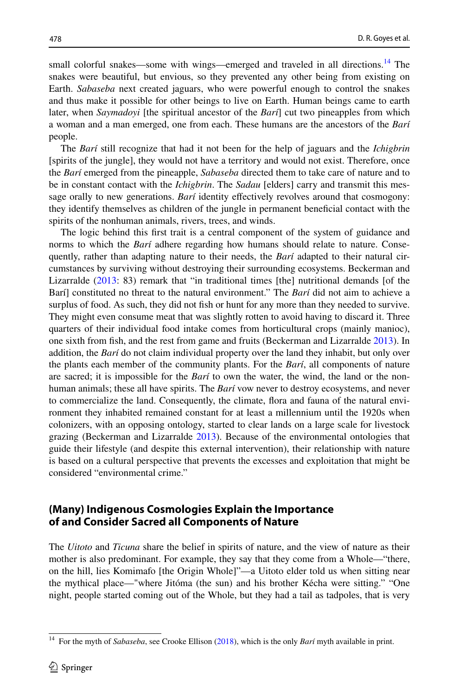small colorful snakes—some with wings—emerged and traveled in all directions.<sup>[14](#page-9-0)</sup> The snakes were beautiful, but envious, so they prevented any other being from existing on Earth. *Sabaseba* next created jaguars, who were powerful enough to control the snakes and thus make it possible for other beings to live on Earth. Human beings came to earth later, when *Saymadoyi* [the spiritual ancestor of the *Barí*] cut two pineapples from which a woman and a man emerged, one from each. These humans are the ancestors of the *Barí* people.

The *Barí* still recognize that had it not been for the help of jaguars and the *Ichigbrin* [spirits of the jungle], they would not have a territory and would not exist. Therefore, once the *Barí* emerged from the pineapple, *Sabaseba* directed them to take care of nature and to be in constant contact with the *Ichigbrin*. The *Sadau* [elders] carry and transmit this message orally to new generations. *Barí* identity efectively revolves around that cosmogony: they identify themselves as children of the jungle in permanent benefcial contact with the spirits of the nonhuman animals, rivers, trees, and winds.

The logic behind this frst trait is a central component of the system of guidance and norms to which the *Barí* adhere regarding how humans should relate to nature. Consequently, rather than adapting nature to their needs, the *Barí* adapted to their natural circumstances by surviving without destroying their surrounding ecosystems. Beckerman and Lizarralde ([2013:](#page-13-5) 83) remark that "in traditional times [the] nutritional demands [of the Barí] constituted no threat to the natural environment." The *Barí* did not aim to achieve a surplus of food. As such, they did not fish or hunt for any more than they needed to survive. They might even consume meat that was slightly rotten to avoid having to discard it. Three quarters of their individual food intake comes from horticultural crops (mainly manioc), one sixth from fsh, and the rest from game and fruits (Beckerman and Lizarralde [2013\)](#page-13-5). In addition, the *Barí* do not claim individual property over the land they inhabit, but only over the plants each member of the community plants. For the *Barí*, all components of nature are sacred; it is impossible for the *Barí* to own the water, the wind, the land or the nonhuman animals; these all have spirits. The *Barí* vow never to destroy ecosystems, and never to commercialize the land. Consequently, the climate, fora and fauna of the natural environment they inhabited remained constant for at least a millennium until the 1920s when colonizers, with an opposing ontology, started to clear lands on a large scale for livestock grazing (Beckerman and Lizarralde [2013](#page-13-5)). Because of the environmental ontologies that guide their lifestyle (and despite this external intervention), their relationship with nature is based on a cultural perspective that prevents the excesses and exploitation that might be considered "environmental crime."

#### **(Many) Indigenous Cosmologies Explain the Importance of and Consider Sacred all Components of Nature**

The *Uitoto* and *Ticuna* share the belief in spirits of nature, and the view of nature as their mother is also predominant. For example, they say that they come from a Whole—"there, on the hill, lies Komimafo [the Origin Whole]"—a Uitoto elder told us when sitting near the mythical place—"where Jitóma (the sun) and his brother Kécha were sitting." "One night, people started coming out of the Whole, but they had a tail as tadpoles, that is very

<span id="page-9-0"></span><sup>&</sup>lt;sup>14</sup> For the myth of *Sabaseba*, see Crooke Ellison ([2018\)](#page-14-22), which is the only *Barí* myth available in print.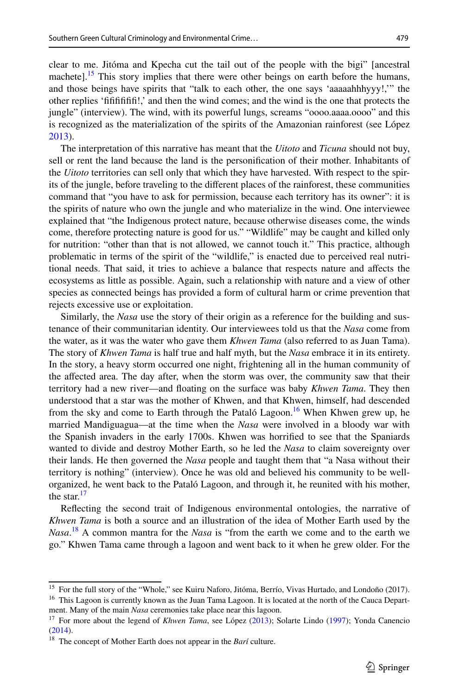clear to me. Jitóma and Kpecha cut the tail out of the people with the bigi" [ancestral machete].<sup>[15](#page-10-0)</sup> This story implies that there were other beings on earth before the humans, and those beings have spirits that "talk to each other, the one says 'aaaaahhhyyy!,'" the other replies 'fifififififi!,' and then the wind comes; and the wind is the one that protects the jungle" (interview). The wind, with its powerful lungs, screams "oooo.aaaa.oooo" and this is recognized as the materialization of the spirits of the Amazonian rainforest (see López [2013\)](#page-15-20).

The interpretation of this narrative has meant that the *Uitoto* and *Ticuna* should not buy, sell or rent the land because the land is the personifcation of their mother. Inhabitants of the *Uitoto* territories can sell only that which they have harvested. With respect to the spirits of the jungle, before traveling to the diferent places of the rainforest, these communities command that "you have to ask for permission, because each territory has its owner": it is the spirits of nature who own the jungle and who materialize in the wind. One interviewee explained that "the Indigenous protect nature, because otherwise diseases come, the winds come, therefore protecting nature is good for us." "Wildlife" may be caught and killed only for nutrition: "other than that is not allowed, we cannot touch it." This practice, although problematic in terms of the spirit of the "wildlife," is enacted due to perceived real nutritional needs. That said, it tries to achieve a balance that respects nature and afects the ecosystems as little as possible. Again, such a relationship with nature and a view of other species as connected beings has provided a form of cultural harm or crime prevention that rejects excessive use or exploitation.

Similarly, the *Nasa* use the story of their origin as a reference for the building and sustenance of their communitarian identity. Our interviewees told us that the *Nasa* come from the water, as it was the water who gave them *Khwen Tama* (also referred to as Juan Tama). The story of *Khwen Tama* is half true and half myth, but the *Nasa* embrace it in its entirety. In the story, a heavy storm occurred one night, frightening all in the human community of the afected area. The day after, when the storm was over, the community saw that their territory had a new river—and foating on the surface was baby *Khwen Tama*. They then understood that a star was the mother of Khwen, and that Khwen, himself, had descended from the sky and come to Earth through the Pataló Lagoon.<sup>[16](#page-10-1)</sup> When Khwen grew up, he married Mandiguagua—at the time when the *Nasa* were involved in a bloody war with the Spanish invaders in the early 1700s. Khwen was horrifed to see that the Spaniards wanted to divide and destroy Mother Earth, so he led the *Nasa* to claim sovereignty over their lands. He then governed the *Nasa* people and taught them that "a Nasa without their territory is nothing" (interview). Once he was old and believed his community to be wellorganized, he went back to the Pataló Lagoon, and through it, he reunited with his mother, the star. $17$ 

Refecting the second trait of Indigenous environmental ontologies, the narrative of *Khwen Tama* is both a source and an illustration of the idea of Mother Earth used by the *Nasa*. [18](#page-10-3) A common mantra for the *Nasa* is "from the earth we come and to the earth we go." Khwen Tama came through a lagoon and went back to it when he grew older. For the

<span id="page-10-0"></span><sup>&</sup>lt;sup>15</sup> For the full story of the "Whole," see Kuiru Naforo, Jitóma, Berrío, Vivas Hurtado, and Londoño (2017).

<span id="page-10-1"></span><sup>&</sup>lt;sup>16</sup> This Lagoon is currently known as the Juan Tama Lagoon. It is located at the north of the Cauca Department. Many of the main *Nasa* ceremonies take place near this lagoon.

<span id="page-10-2"></span><sup>&</sup>lt;sup>17</sup> For more about the legend of *Khwen Tama*, see López [\(2013](#page-15-20)); Solarte Lindo [\(1997](#page-15-21)); Yonda Canencio [\(2014](#page-16-8)).

<span id="page-10-3"></span><sup>18</sup> The concept of Mother Earth does not appear in the *Barí* culture.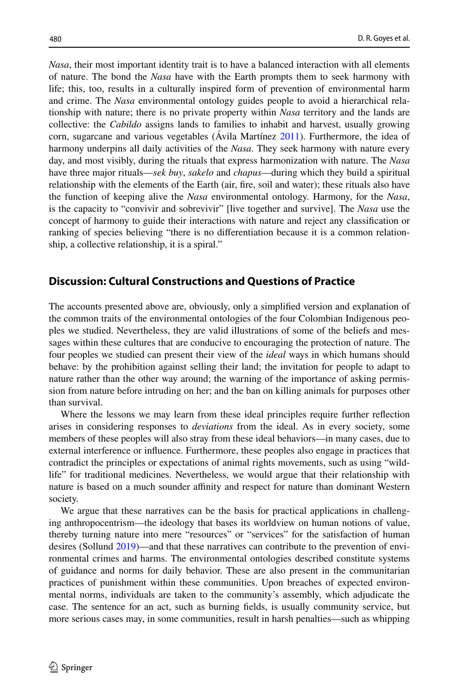*Nasa*, their most important identity trait is to have a balanced interaction with all elements of nature. The bond the *Nasa* have with the Earth prompts them to seek harmony with life; this, too, results in a culturally inspired form of prevention of environmental harm and crime. The *Nasa* environmental ontology guides people to avoid a hierarchical relationship with nature; there is no private property within *Nasa* territory and the lands are collective: the *Cabildo* assigns lands to families to inhabit and harvest, usually growing corn, sugarcane and various vegetables (Ávila Martínez [2011](#page-13-6)). Furthermore, the idea of harmony underpins all daily activities of the *Nasa*. They seek harmony with nature every day, and most visibly, during the rituals that express harmonization with nature. The *Nasa* have three major rituals—*sek buy*, *sakelo* and *chapus*—during which they build a spiritual relationship with the elements of the Earth (air, fre, soil and water); these rituals also have the function of keeping alive the *Nasa* environmental ontology. Harmony, for the *Nasa*, is the capacity to "convivir and sobrevivir" [live together and survive]. The *Nasa* use the concept of harmony to guide their interactions with nature and reject any classifcation or ranking of species believing "there is no diferentiation because it is a common relationship, a collective relationship, it is a spiral."

# **Discussion: Cultural Constructions and Questions of Practice**

The accounts presented above are, obviously, only a simplifed version and explanation of the common traits of the environmental ontologies of the four Colombian Indigenous peoples we studied. Nevertheless, they are valid illustrations of some of the beliefs and messages within these cultures that are conducive to encouraging the protection of nature. The four peoples we studied can present their view of the *ideal* ways in which humans should behave: by the prohibition against selling their land; the invitation for people to adapt to nature rather than the other way around; the warning of the importance of asking permission from nature before intruding on her; and the ban on killing animals for purposes other than survival.

Where the lessons we may learn from these ideal principles require further refection arises in considering responses to *deviations* from the ideal. As in every society, some members of these peoples will also stray from these ideal behaviors—in many cases, due to external interference or infuence. Furthermore, these peoples also engage in practices that contradict the principles or expectations of animal rights movements, such as using "wildlife" for traditional medicines. Nevertheless, we would argue that their relationship with nature is based on a much sounder affinity and respect for nature than dominant Western society.

We argue that these narratives can be the basis for practical applications in challenging anthropocentrism—the ideology that bases its worldview on human notions of value, thereby turning nature into mere "resources" or "services" for the satisfaction of human desires (Sollund [2019](#page-15-22))—and that these narratives can contribute to the prevention of environmental crimes and harms. The environmental ontologies described constitute systems of guidance and norms for daily behavior. These are also present in the communitarian practices of punishment within these communities. Upon breaches of expected environmental norms, individuals are taken to the community's assembly, which adjudicate the case. The sentence for an act, such as burning felds, is usually community service, but more serious cases may, in some communities, result in harsh penalties—such as whipping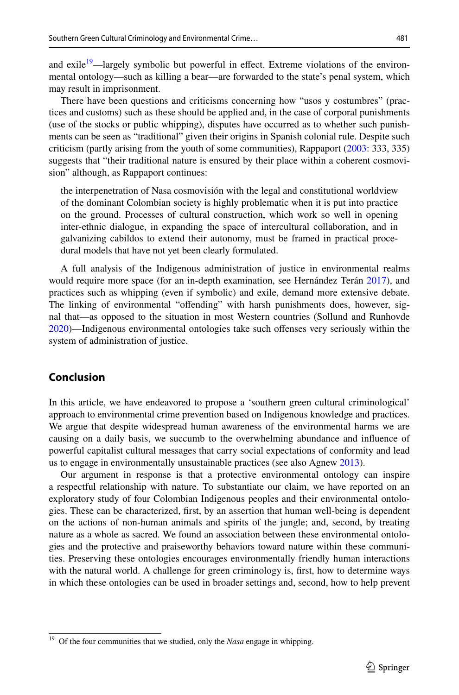and exile<sup>19</sup>—largely symbolic but powerful in effect. Extreme violations of the environmental ontology—such as killing a bear—are forwarded to the state's penal system, which may result in imprisonment.

There have been questions and criticisms concerning how "usos y costumbres" (practices and customs) such as these should be applied and, in the case of corporal punishments (use of the stocks or public whipping), disputes have occurred as to whether such punishments can be seen as "traditional" given their origins in Spanish colonial rule. Despite such criticism (partly arising from the youth of some communities), Rappaport [\(2003](#page-15-23): 333, 335) suggests that "their traditional nature is ensured by their place within a coherent cosmovision" although, as Rappaport continues:

the interpenetration of Nasa cosmovisión with the legal and constitutional worldview of the dominant Colombian society is highly problematic when it is put into practice on the ground. Processes of cultural construction, which work so well in opening inter-ethnic dialogue, in expanding the space of intercultural collaboration, and in galvanizing cabildos to extend their autonomy, must be framed in practical procedural models that have not yet been clearly formulated.

A full analysis of the Indigenous administration of justice in environmental realms would require more space (for an in-depth examination, see Hernández Terán [2017](#page-14-23)), and practices such as whipping (even if symbolic) and exile, demand more extensive debate. The linking of environmental "offending" with harsh punishments does, however, signal that—as opposed to the situation in most Western countries (Sollund and Runhovde [2020\)](#page-15-7)—Indigenous environmental ontologies take such ofenses very seriously within the system of administration of justice.

### **Conclusion**

In this article, we have endeavored to propose a 'southern green cultural criminological' approach to environmental crime prevention based on Indigenous knowledge and practices. We argue that despite widespread human awareness of the environmental harms we are causing on a daily basis, we succumb to the overwhelming abundance and infuence of powerful capitalist cultural messages that carry social expectations of conformity and lead us to engage in environmentally unsustainable practices (see also Agnew [2013](#page-13-8)).

Our argument in response is that a protective environmental ontology can inspire a respectful relationship with nature. To substantiate our claim, we have reported on an exploratory study of four Colombian Indigenous peoples and their environmental ontologies. These can be characterized, frst, by an assertion that human well-being is dependent on the actions of non-human animals and spirits of the jungle; and, second, by treating nature as a whole as sacred. We found an association between these environmental ontologies and the protective and praiseworthy behaviors toward nature within these communities. Preserving these ontologies encourages environmentally friendly human interactions with the natural world. A challenge for green criminology is, frst, how to determine ways in which these ontologies can be used in broader settings and, second, how to help prevent

<span id="page-12-0"></span><sup>&</sup>lt;sup>19</sup> Of the four communities that we studied, only the *Nasa* engage in whipping.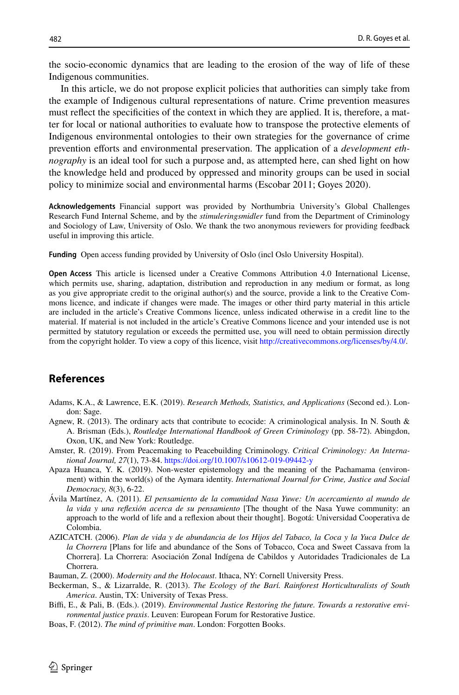the socio-economic dynamics that are leading to the erosion of the way of life of these Indigenous communities.

In this article, we do not propose explicit policies that authorities can simply take from the example of Indigenous cultural representations of nature. Crime prevention measures must refect the specifcities of the context in which they are applied. It is, therefore, a matter for local or national authorities to evaluate how to transpose the protective elements of Indigenous environmental ontologies to their own strategies for the governance of crime prevention efforts and environmental preservation. The application of a *development ethnography* is an ideal tool for such a purpose and, as attempted here, can shed light on how the knowledge held and produced by oppressed and minority groups can be used in social policy to minimize social and environmental harms (Escobar 2011; Goyes 2020).

**Acknowledgements** Financial support was provided by Northumbria University's Global Challenges Research Fund Internal Scheme, and by the *stimuleringsmidler* fund from the Department of Criminology and Sociology of Law, University of Oslo. We thank the two anonymous reviewers for providing feedback useful in improving this article.

**Funding** Open access funding provided by University of Oslo (incl Oslo University Hospital).

**Open Access** This article is licensed under a Creative Commons Attribution 4.0 International License, which permits use, sharing, adaptation, distribution and reproduction in any medium or format, as long as you give appropriate credit to the original author(s) and the source, provide a link to the Creative Commons licence, and indicate if changes were made. The images or other third party material in this article are included in the article's Creative Commons licence, unless indicated otherwise in a credit line to the material. If material is not included in the article's Creative Commons licence and your intended use is not permitted by statutory regulation or exceeds the permitted use, you will need to obtain permission directly from the copyright holder. To view a copy of this licence, visit [http://creativecommons.org/licenses/by/4.0/.](http://creativecommons.org/licenses/by/4.0/)

# **References**

- <span id="page-13-4"></span>Adams, K.A., & Lawrence, E.K. (2019). *Research Methods, Statistics, and Applications* (Second ed.). London: Sage.
- <span id="page-13-8"></span>Agnew, R. (2013). The ordinary acts that contribute to ecocide: A criminological analysis. In N. South & A. Brisman (Eds.), *Routledge International Handbook of Green Criminology* (pp. 58-72). Abingdon, Oxon, UK, and New York: Routledge.
- <span id="page-13-3"></span>Amster, R. (2019). From Peacemaking to Peacebuilding Criminology. *Critical Criminology: An International Journal, 27*(1), 73-84.<https://doi.org/10.1007/s10612-019-09442-y>
- <span id="page-13-0"></span>Apaza Huanca, Y. K. (2019). Non-wester epistemology and the meaning of the Pachamama (environment) within the world(s) of the Aymara identity. *International Journal for Crime, Justice and Social Democracy, 8*(3), 6-22.
- <span id="page-13-6"></span>Ávila Martínez, A. (2011). *El pensamiento de la comunidad Nasa Yuwe: Un acercamiento al mundo de la vida y una refexión acerca de su pensamiento* [The thought of the Nasa Yuwe community: an approach to the world of life and a refexion about their thought]. Bogotá: Universidad Cooperativa de Colombia.
- AZICATCH. (2006). *Plan de vida y de abundancia de los Hijos del Tabaco, la Coca y la Yuca Dulce de la Chorrera* [Plans for life and abundance of the Sons of Tobacco, Coca and Sweet Cassava from la Chorrera]. La Chorrera: Asociación Zonal Indígena de Cabildos y Autoridades Tradicionales de La Chorrera.

<span id="page-13-7"></span>Bauman, Z. (2000). *Modernity and the Holocaust*. Ithaca, NY: Cornell University Press.

- <span id="page-13-5"></span>Beckerman, S., & Lizarralde, R. (2013). *The Ecology of the Barí. Rainforest Horticulturalists of South America*. Austin, TX: University of Texas Press.
- <span id="page-13-2"></span>Biffi, E., & Pali, B. (Eds.). (2019). *Environmental Justice Restoring the future. Towards a restorative environmental justice praxis*. Leuven: European Forum for Restorative Justice.
- <span id="page-13-1"></span>Boas, F. (2012). *The mind of primitive man*. London: Forgotten Books.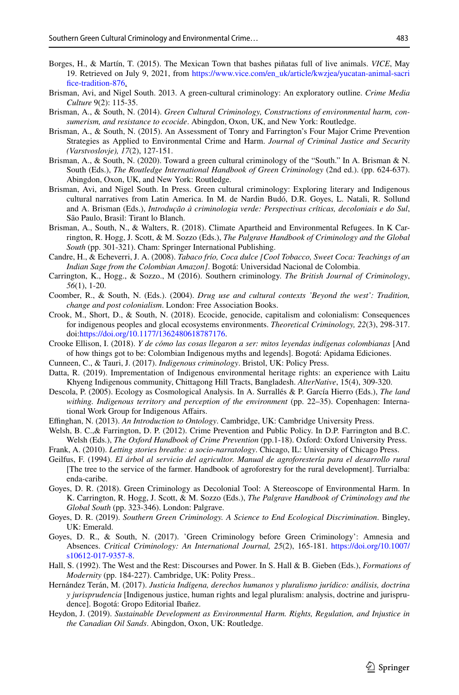- <span id="page-14-7"></span>Borges, H., & Martín, T. (2015). The Mexican Town that bashes piñatas full of live animals. *VICE*, May 19. Retrieved on July 9, 2021, from [https://www.vice.com/en\\_uk/article/kwzjea/yucatan-animal-sacri](https://www.vice.com/en_uk/article/kwzjea/yucatan-animal-sacrifice-tradition-876) fice-tradition-876.
- <span id="page-14-16"></span>Brisman, Avi, and Nigel South. 2013. A green-cultural criminology: An exploratory outline. *Crime Media Culture* 9(2): 115-35.
- <span id="page-14-17"></span>Brisman, A., & South, N. (2014). *Green Cultural Criminology, Constructions of environmental harm, consumerism, and resistance to ecocide*. Abingdon, Oxon, UK, and New York: Routledge.
- <span id="page-14-1"></span>Brisman, A., & South, N. (2015). An Assessment of Tonry and Farrington's Four Major Crime Prevention Strategies as Applied to Environmental Crime and Harm. *Journal of Criminal Justice and Security (Varstvoslovje), 17*(2), 127-151.
- <span id="page-14-11"></span>Brisman, A., & South, N. (2020). Toward a green cultural criminology of the "South." In A. Brisman & N. South (Eds.), *The Routledge International Handbook of Green Criminology* (2nd ed.). (pp. 624-637). Abingdon, Oxon, UK, and New York: Routledge.
- Brisman, Avi, and Nigel South. In Press. Green cultural criminology: Exploring literary and Indigenous cultural narratives from Latin America. In M. de Nardin Budó, D.R. Goyes, L. Natali, R. Sollund and A. Brisman (Eds.), *Introdução à criminologia verde: Perspectivas críticas, decoloniais e do Sul*, São Paulo, Brasil: Tirant lo Blanch.
- <span id="page-14-12"></span>Brisman, A., South, N., & Walters, R. (2018). Climate Apartheid and Environmental Refugees. In K Carrington, R. Hogg, J. Scott, & M. Sozzo (Eds.), *The Palgrave Handbook of Criminology and the Global South* (pp. 301-321). Cham: Springer International Publishing.
- <span id="page-14-21"></span>Candre, H., & Echeverri, J. A. (2008). *Tabaco frío, Coca dulce [Cool Tobacco, Sweet Coca: Teachings of an Indian Sage from the Colombian Amazon]*. Bogotá: Universidad Nacional de Colombia.
- <span id="page-14-13"></span>Carrington, K., Hogg., & Sozzo., M (2016). Southern criminology. *The British Journal of Criminology*, *56*(1), 1-20.
- <span id="page-14-9"></span>Coomber, R., & South, N. (Eds.). (2004). *Drug use and cultural contexts 'Beyond the west': Tradition, change and post colonialism*. London: Free Association Books.
- <span id="page-14-18"></span>Crook, M., Short, D., & South, N. (2018). Ecocide, genocide, capitalism and colonialism: Consequences for indigenous peoples and glocal ecosystems environments. *Theoretical Criminology, 22*(3), 298-317. doi[:https://doi.org/10.1177/1362480618787176.](https://doi.org/10.1177/1362480618787176)
- <span id="page-14-22"></span>Crooke Ellison, I. (2018). *Y de cómo las cosas llegaron a ser: mitos leyendas indígenas colombianas* [And of how things got to be: Colombian Indigenous myths and legends]. Bogotá: Apidama Ediciones.
- <span id="page-14-15"></span>Cunneen, C., & Tauri, J. (2017). *Indigenous criminology*. Bristol, UK: Policy Press.
- <span id="page-14-5"></span>Datta, R. (2019). Imprementation of Indigenous environmental heritage rights: an experience with Laitu Khyeng Indigenous community, Chittagong Hill Tracts, Bangladesh. *AlterNative*, 15(4), 309-320.
- <span id="page-14-3"></span>Descola, P. (2005). Ecology as Cosmological Analysis. In A. Surrallés & P. García Hierro (Eds.), *The land withing. Indigenous territory and perception of the environment* (pp. 22–35). Copenhagen: International Work Group for Indigenous Afairs.
- <span id="page-14-2"></span>Efnghan, N. (2013). *An Introduction to Ontology*. Cambridge, UK: Cambridge University Press.
- <span id="page-14-4"></span>Welsh, B. C.,& Farrington, D. P. (2012). Crime Prevention and Public Policy. In D.P. Farrington and B.C. Welsh (Eds.), *The Oxford Handbook of Crime Prevention* (pp.1-18). Oxford: Oxford University Press.
- <span id="page-14-20"></span>Frank, A. (2010). *Letting stories breathe: a socio-narratology*. Chicago, IL: University of Chicago Press.
- <span id="page-14-6"></span>Geilfus, F. (1994). *El árbol al servicio del agricultor. Manual de agroforestería para el desarrollo rural* [The tree to the service of the farmer. Handbook of agroforestry for the rural development]. Turrialba: enda-caribe.
- <span id="page-14-14"></span>Goyes, D. R. (2018). Green Criminology as Decolonial Tool: A Stereoscope of Environmental Harm. In K. Carrington, R. Hogg, J. Scott, & M. Sozzo (Eds.), *The Palgrave Handbook of Criminology and the Global South* (pp. 323-346). London: Palgrave.
- <span id="page-14-8"></span>Goyes, D. R. (2019). *Southern Green Criminology. A Science to End Ecological Discrimination*. Bingley, UK: Emerald.
- <span id="page-14-10"></span>Goyes, D. R., & South, N. (2017). 'Green Criminology before Green Criminology': Amnesia and Absences. *Critical Criminology: An International Journal, 25*(2), 165-181. [https://doi.org/10.1007/](https://doi.org/10.1007/s10612-017-9357-8) [s10612-017-9357-8.](https://doi.org/10.1007/s10612-017-9357-8)
- <span id="page-14-19"></span>Hall, S. (1992). The West and the Rest: Discourses and Power. In S. Hall & B. Gieben (Eds.), *Formations of Modernity* (pp. 184-227). Cambridge, UK: Polity Press..
- <span id="page-14-23"></span>Hernández Terán, M. (2017). *Justicia Indígena, derechos humanos y pluralismo jurídico: análisis, doctrina y jurisprudencia* [Indigenous justice, human rights and legal pluralism: analysis, doctrine and jurisprudence]. Bogotá: Gropo Editorial Ibañez.
- <span id="page-14-0"></span>Heydon, J. (2019). *Sustainable Development as Environmental Harm. Rights, Regulation, and Injustice in the Canadian Oil Sands*. Abingdon, Oxon, UK: Routledge.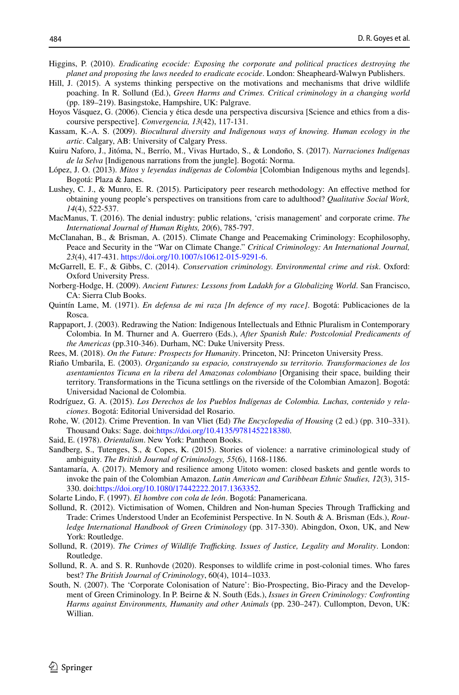- <span id="page-15-8"></span>Higgins, P. (2010). *Eradicating ecocide: Exposing the corporate and political practices destroying the planet and proposing the laws needed to eradicate ecocide*. London: Sheapheard-Walwyn Publishers.
- <span id="page-15-3"></span>Hill, J. (2015). A systems thinking perspective on the motivations and mechanisms that drive wildlife poaching. In R. Sollund (Ed.), *Green Harms and Crimes. Critical criminology in a changing world* (pp. 189–219). Basingstoke, Hampshire, UK: Palgrave.
- <span id="page-15-19"></span>Hoyos Vásquez, G. (2006). Ciencia y ética desde una perspectiva discursiva [Science and ethics from a discoursive perspective]. *Convergencia, 13*(42), 117-131.
- <span id="page-15-5"></span>Kassam, K.-A. S. (2009). *Biocultural diversity and Indigenous ways of knowing. Human ecology in the artic*. Calgary, AB: University of Calgary Press.
- Kuiru Naforo, J., Jitóma, N., Berrío, M., Vivas Hurtado, S., & Londoño, S. (2017). *Narraciones Indígenas de la Selva* [Indigenous narrations from the jungle]. Bogotá: Norma.
- <span id="page-15-20"></span>López, J. O. (2013). *Mitos y leyendas indígenas de Colombia* [Colombian Indigenous myths and legends]. Bogotá: Plaza & Janes.
- <span id="page-15-13"></span>Lushey, C. J., & Munro, E. R. (2015). Participatory peer research methodology: An efective method for obtaining young people's perspectives on transitions from care to adulthood? *Qualitative Social Work, 14*(4), 522-537.
- <span id="page-15-9"></span>MacManus, T. (2016). The denial industry: public relations, 'crisis management' and corporate crime. *The International Journal of Human Rights, 20*(6), 785-797.
- <span id="page-15-0"></span>McClanahan, B., & Brisman, A. (2015). Climate Change and Peacemaking Criminology: Ecophilosophy, Peace and Security in the "War on Climate Change." *Critical Criminology: An International Journal, 23*(4), 417-431. <https://doi.org/10.1007/s10612-015-9291-6>.
- <span id="page-15-4"></span>McGarrell, E. F., & Gibbs, C. (2014). *Conservation criminology. Environmental crime and risk*. Oxford: Oxford University Press.
- <span id="page-15-6"></span>Norberg-Hodge, H. (2009). *Ancient Futures: Lessons from Ladakh for a Globalizing World*. San Francisco, CA: Sierra Club Books.
- <span id="page-15-15"></span>Quintín Lame, M. (1971). *En defensa de mi raza [In defence of my race]*. Bogotá: Publicaciones de la Rosca.
- <span id="page-15-23"></span>Rappaport, J. (2003). Redrawing the Nation: Indigenous Intellectuals and Ethnic Pluralism in Contemporary Colombia. In M. Thurner and A. Guerrero (Eds.), *After Spanish Rule: Postcolonial Predicaments of the Americas* (pp.310-346). Durham, NC: Duke University Press.
- <span id="page-15-1"></span>Rees, M. (2018). *On the Future: Prospects for Humanity*. Princeton, NJ: Princeton University Press.
- <span id="page-15-16"></span>Riaño Umbarila, E. (2003). *Organizando su espacio, construyendo su territorio. Transformaciones de los asentamientos Ticuna en la ribera del Amazonas colombiano* [Organising their space, building their territory. Transformations in the Ticuna settlings on the riverside of the Colombian Amazon]. Bogotá: Universidad Nacional de Colombia.
- <span id="page-15-14"></span>Rodríguez, G. A. (2015). *Los Derechos de los Pueblos Indígenas de Colombia. Luchas, contenido y relaciones*. Bogotá: Editorial Universidad del Rosario.
- <span id="page-15-2"></span>Rohe, W. (2012). Crime Prevention. In van Vliet (Ed) *The Encyclopedia of Housing* (2 ed.) (pp. 310–331). Thousand Oaks: Sage. doi:<https://doi.org/10.4135/9781452218380>.
- <span id="page-15-11"></span>Said, E. (1978). *Orientalism*. New York: Pantheon Books.
- <span id="page-15-12"></span>Sandberg, S., Tutenges, S., & Copes, K. (2015). Stories of violence: a narrative criminological study of ambiguity. *The British Journal of Criminology, 55*(6), 1168-1186.
- <span id="page-15-17"></span>Santamaría, A. (2017). Memory and resilience among Uitoto women: closed baskets and gentle words to invoke the pain of the Colombian Amazon. *Latin American and Caribbean Ethnic Studies, 12*(3), 315- 330. doi[:https://doi.org/10.1080/17442222.2017.1363352.](https://doi.org/10.1080/17442222.2017.1363352)
- <span id="page-15-21"></span>Solarte Lindo, F. (1997). *El hombre con cola de león*. Bogotá: Panamericana.
- <span id="page-15-18"></span>Sollund, R. (2012). Victimisation of Women, Children and Non-human Species Through Trafficking and Trade: Crimes Understood Under an Ecofeminist Perspective. In N. South & A. Brisman (Eds.), *Routledge International Handbook of Green Criminology* (pp. 317-330). Abingdon, Oxon, UK, and New York: Routledge.
- <span id="page-15-22"></span>Sollund, R. (2019). *The Crimes of Wildlife Trafficking. Issues of Justice, Legality and Morality*. London: Routledge.
- <span id="page-15-7"></span>Sollund, R. A. and S. R. Runhovde (2020). Responses to wildlife crime in post-colonial times. Who fares best? *The British Journal of Criminology*, 60(4), 1014–1033.
- <span id="page-15-10"></span>South, N. (2007). The 'Corporate Colonisation of Nature': Bio-Prospecting, Bio-Piracy and the Development of Green Criminology. In P. Beirne & N. South (Eds.), *Issues in Green Criminology: Confronting Harms against Environments, Humanity and other Animals* (pp. 230–247). Cullompton, Devon, UK: Willian.